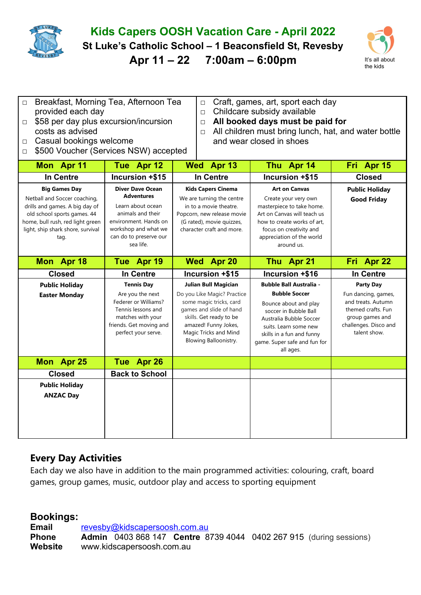

costs as advised

## **Kids Capers OOSH Vacation Care - April 2022**

**St Luke's Catholic School – 1 Beaconsfield St, Revesby** 

**Apr 11 – 22 7:00am – 6:00pm** It's all about



- □ Breakfast, Morning Tea, Afternoon Tea provided each day □ \$58 per day plus excursion/incursion
- □ Craft, games, art, sport each day
- □ Childcare subsidy available
- □ **All booked days must be paid for**
- $\Box$  All children must bring lunch, hat, and water bottle and wear closed in shoes
- □ Casual bookings welcome □ \$500 Voucher (Services NSW) accepted

| Mon Apr 11                                                                                                                                                                                             | Tue Apr 12                                                                                                                                                                     | Wed Apr 13                                                                                                                                                                             | Thu Apr 14                                                                                                                                                                                                    | Fri Apr 15                                                                                                                  |
|--------------------------------------------------------------------------------------------------------------------------------------------------------------------------------------------------------|--------------------------------------------------------------------------------------------------------------------------------------------------------------------------------|----------------------------------------------------------------------------------------------------------------------------------------------------------------------------------------|---------------------------------------------------------------------------------------------------------------------------------------------------------------------------------------------------------------|-----------------------------------------------------------------------------------------------------------------------------|
| In Centre                                                                                                                                                                                              | Incursion +\$15                                                                                                                                                                | <b>In Centre</b>                                                                                                                                                                       | Incursion +\$15                                                                                                                                                                                               | <b>Closed</b>                                                                                                               |
| <b>Big Games Day</b><br>Netball and Soccer coaching,<br>drills and games. A big day of<br>old school sports games. 44<br>home, bull rush, red light green<br>light, ship shark shore, survival<br>tag. | <b>Diver Dave Ocean</b><br><b>Adventures</b><br>Learn about ocean<br>animals and their<br>environment. Hands on<br>workshop and what we<br>can do to preserve our<br>sea life. | <b>Kids Capers Cinema</b><br>We are turning the centre<br>in to a movie theatre.<br>Popcorn, new release movie<br>(G rated), movie quizzes,<br>character craft and more.               | <b>Art on Canvas</b><br>Create your very own<br>masterpiece to take home.<br>Art on Canvas will teach us<br>how to create works of art.<br>focus on creativity and<br>appreciation of the world<br>around us. | <b>Public Holiday</b><br><b>Good Friday</b>                                                                                 |
| Mon Apr 18                                                                                                                                                                                             | Tue Apr 19                                                                                                                                                                     | Wed Apr 20                                                                                                                                                                             | Thu Apr 21                                                                                                                                                                                                    | Fri Apr 22                                                                                                                  |
| <b>Closed</b>                                                                                                                                                                                          | In Centre                                                                                                                                                                      | Incursion +\$15                                                                                                                                                                        | Incursion +\$16                                                                                                                                                                                               | <b>In Centre</b>                                                                                                            |
| <b>Public Holiday</b>                                                                                                                                                                                  | <b>Tennis Day</b>                                                                                                                                                              | <b>Julian Bull Magician</b>                                                                                                                                                            | <b>Bubble Ball Australia -</b>                                                                                                                                                                                | <b>Party Day</b>                                                                                                            |
| <b>Easter Monday</b>                                                                                                                                                                                   | Are you the next<br>Federer or Williams?<br>Tennis lessons and<br>matches with your<br>friends. Get moving and<br>perfect your serve.                                          | Do you Like Magic? Practice<br>some magic tricks, card<br>games and slide of hand<br>skills. Get ready to be<br>amazed! Funny Jokes,<br>Magic Tricks and Mind<br>Blowing Balloonistry. | <b>Bubble Soccer</b><br>Bounce about and play<br>soccer in Bubble Ball<br>Australia Bubble Soccer<br>suits. Learn some new<br>skills in a fun and funny<br>game. Super safe and fun for<br>all ages.          | Fun dancing, games,<br>and treats. Autumn<br>themed crafts. Fun<br>group games and<br>challenges. Disco and<br>talent show. |
| Mon Apr 25                                                                                                                                                                                             | Tue Apr 26                                                                                                                                                                     |                                                                                                                                                                                        |                                                                                                                                                                                                               |                                                                                                                             |
| <b>Closed</b>                                                                                                                                                                                          | <b>Back to School</b>                                                                                                                                                          |                                                                                                                                                                                        |                                                                                                                                                                                                               |                                                                                                                             |
| <b>Public Holiday</b><br><b>ANZAC Day</b>                                                                                                                                                              |                                                                                                                                                                                |                                                                                                                                                                                        |                                                                                                                                                                                                               |                                                                                                                             |

## **Every Day Activities**

Each day we also have in addition to the main programmed activities: colouring, craft, board games, group games, music, outdoor play and access to sporting equipment

## **Bookings:**

**Email** [revesby@kidscapersoosh.com.au](mailto:dulwich@kidscapersoosh.com.au) **Phone Admin** 0403 868 147 **Centre** 8739 4044 0402 267 915 (during sessions) **Website** www.kidscapersoosh.com.au